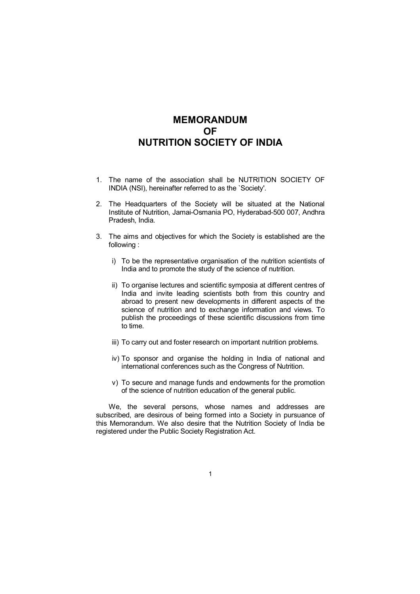# **MEMORANDUM OF NUTRITION SOCIETY OF INDIA**

- 1. The name of the association shall be NUTRITION SOCIETY OF INDIA (NSI), hereinafter referred to as the `Society'.
- 2. The Headquarters of the Society will be situated at the National Institute of Nutrition, Jamai-Osmania PO, Hyderabad-500 007, Andhra Pradesh, India.
- 3. The aims and objectives for which the Society is established are the following :
	- i) To be the representative organisation of the nutrition scientists of India and to promote the study of the science of nutrition.
	- ii) To organise lectures and scientific symposia at different centres of India and invite leading scientists both from this country and abroad to present new developments in different aspects of the science of nutrition and to exchange information and views. To publish the proceedings of these scientific discussions from time to time.
	- iii) To carry out and foster research on important nutrition problems.
	- iv) To sponsor and organise the holding in India of national and international conferences such as the Congress of Nutrition.
	- v) To secure and manage funds and endowments for the promotion of the science of nutrition education of the general public.

We, the several persons, whose names and addresses are subscribed, are desirous of being formed into a Society in pursuance of this Memorandum. We also desire that the Nutrition Society of India be registered under the Public Society Registration Act.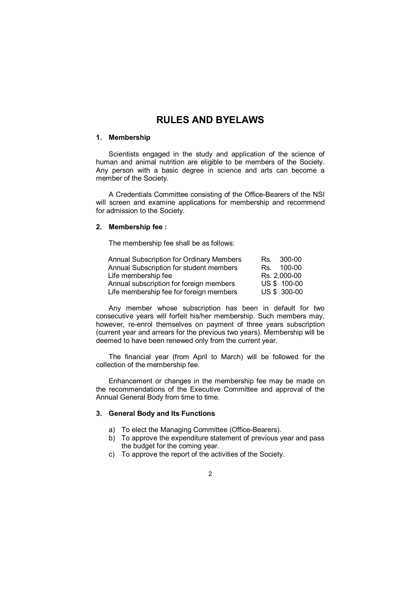## **RULES AND BYELAWS**

## **1. Membership**

Scientists engaged in the study and application of the science of human and animal nutrition are eligible to be members of the Society. Any person with a basic degree in science and arts can become a member of the Society.

A Credentials Committee consisting of the Office-Bearers of the NSI will screen and examine applications for membership and recommend for admission to the Society.

## **2. Membership fee :**

The membership fee shall be as follows:

| <b>Annual Subscription for Ordinary Members</b> | Rs. 300-00   |
|-------------------------------------------------|--------------|
| Annual Subscription for student members         | Rs. 100-00   |
| Life membership fee                             | Rs. 2,000-00 |
| Annual subscription for foreign members         | US \$ 100-00 |
| Life membership fee for foreign members         | US \$ 300-00 |

Any member whose subscription has been in default for two consecutive years will forfeit his/her membership. Such members may, however, re-enrol themselves on payment of three years subscription (current year and arrears for the previous two years). Membership will be deemed to have been renewed only from the current year.

The financial year (from April to March) will be followed for the collection of the membership fee.

Enhancement or changes in the membership fee may be made on the recommendations of the Executive Committee and approval of the Annual General Body from time to time.

## **3. General Body and Its Functions**

- a) To elect the Managing Committee (Office-Bearers).
- b) To approve the expenditure statement of previous year and pass the budget for the coming year.
- c) To approve the report of the activities of the Society.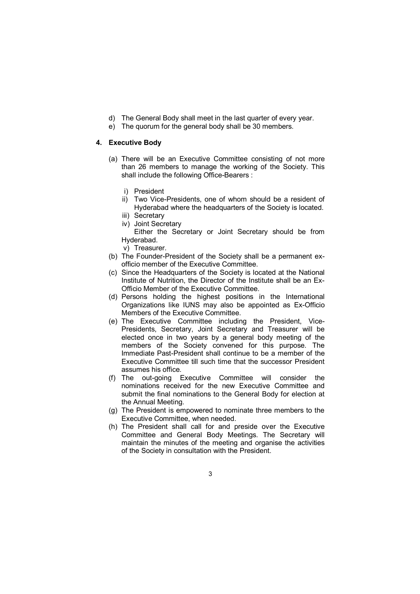- d) The General Body shall meet in the last quarter of every year.
- e) The quorum for the general body shall be 30 members.

### **4. Executive Body**

- (a) There will be an Executive Committee consisting of not more than 26 members to manage the working of the Society. This shall include the following Office-Bearers :
	- i) President
	- ii) Two Vice-Presidents, one of whom should be a resident of Hyderabad where the headquarters of the Society is located.
	- iii) Secretary
	- iv) Joint Secretary
	- Either the Secretary or Joint Secretary should be from Hyderabad.
	- v) Treasurer.
- (b) The Founder-President of the Society shall be a permanent exofficio member of the Executive Committee.
- (c) Since the Headquarters of the Society is located at the National Institute of Nutrition, the Director of the Institute shall be an Ex-Officio Member of the Executive Committee.
- (d) Persons holding the highest positions in the International Organizations like IUNS may also be appointed as Ex-Officio Members of the Executive Committee.
- (e) The Executive Committee including the President, Vice-Presidents, Secretary, Joint Secretary and Treasurer will be elected once in two years by a general body meeting of the members of the Society convened for this purpose. The Immediate Past-President shall continue to be a member of the Executive Committee till such time that the successor President assumes his office.
- (f) The out-going Executive Committee will consider the nominations received for the new Executive Committee and submit the final nominations to the General Body for election at the Annual Meeting.
- (g) The President is empowered to nominate three members to the Executive Committee, when needed.
- (h) The President shall call for and preside over the Executive Committee and General Body Meetings. The Secretary will maintain the minutes of the meeting and organise the activities of the Society in consultation with the President.
	- 3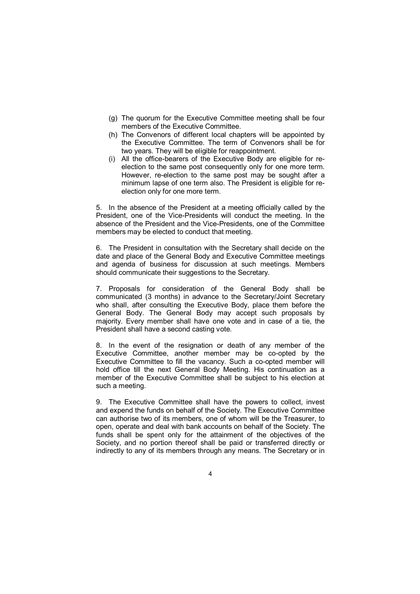- (g) The quorum for the Executive Committee meeting shall be four members of the Executive Committee.
- (h) The Convenors of different local chapters will be appointed by the Executive Committee. The term of Convenors shall be for two years. They will be eligible for reappointment.
- (i) All the office-bearers of the Executive Body are eligible for reelection to the same post consequently only for one more term. However, re-election to the same post may be sought after a minimum lapse of one term also. The President is eligible for reelection only for one more term.

5. In the absence of the President at a meeting officially called by the President, one of the Vice-Presidents will conduct the meeting. In the absence of the President and the Vice-Presidents, one of the Committee members may be elected to conduct that meeting.

6. The President in consultation with the Secretary shall decide on the date and place of the General Body and Executive Committee meetings and agenda of business for discussion at such meetings. Members should communicate their suggestions to the Secretary.

7. Proposals for consideration of the General Body shall be communicated (3 months) in advance to the Secretary/Joint Secretary who shall, after consulting the Executive Body, place them before the General Body. The General Body may accept such proposals by majority. Every member shall have one vote and in case of a tie, the President shall have a second casting vote.

8. In the event of the resignation or death of any member of the Executive Committee, another member may be co-opted by the Executive Committee to fill the vacancy. Such a co-opted member will hold office till the next General Body Meeting. His continuation as a member of the Executive Committee shall be subject to his election at such a meeting.

9. The Executive Committee shall have the powers to collect, invest and expend the funds on behalf of the Society. The Executive Committee can authorise two of its members, one of whom will be the Treasurer, to open, operate and deal with bank accounts on behalf of the Society. The funds shall be spent only for the attainment of the objectives of the Society, and no portion thereof shall be paid or transferred directly or indirectly to any of its members through any means. The Secretary or in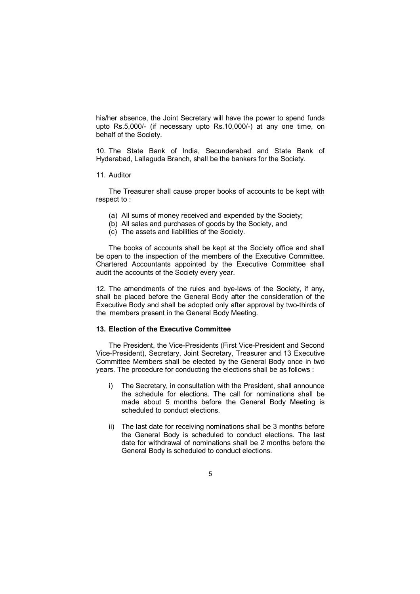his/her absence, the Joint Secretary will have the power to spend funds upto Rs.5,000/- (if necessary upto Rs.10,000/-) at any one time, on behalf of the Society.

10. The State Bank of India, Secunderabad and State Bank of Hyderabad, Lallaguda Branch, shall be the bankers for the Society.

11. Auditor

The Treasurer shall cause proper books of accounts to be kept with respect to :

- (a) All sums of money received and expended by the Society;
- (b) All sales and purchases of goods by the Society, and
- (c) The assets and liabilities of the Society.

The books of accounts shall be kept at the Society office and shall be open to the inspection of the members of the Executive Committee. Chartered Accountants appointed by the Executive Committee shall audit the accounts of the Society every year.

12. The amendments of the rules and bye-laws of the Society, if any, shall be placed before the General Body after the consideration of the Executive Body and shall be adopted only after approval by two-thirds of the members present in the General Body Meeting.

## **13. Election of the Executive Committee**

The President, the Vice-Presidents (First Vice-President and Second Vice-President), Secretary, Joint Secretary, Treasurer and 13 Executive Committee Members shall be elected by the General Body once in two years. The procedure for conducting the elections shall be as follows :

- i) The Secretary, in consultation with the President, shall announce the schedule for elections. The call for nominations shall be made about 5 months before the General Body Meeting is scheduled to conduct elections.
- ii) The last date for receiving nominations shall be 3 months before the General Body is scheduled to conduct elections. The last date for withdrawal of nominations shall be 2 months before the General Body is scheduled to conduct elections.
	- 5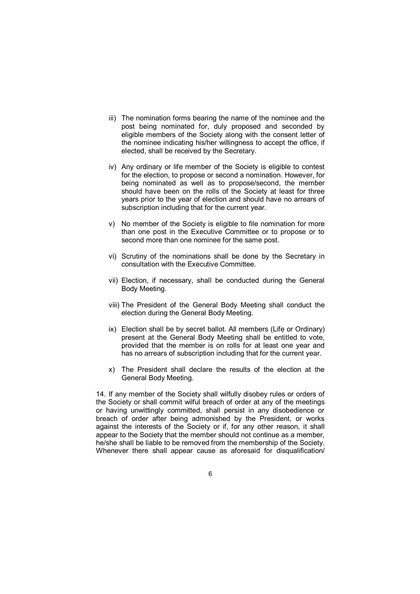- iii) The nomination forms bearing the name of the nominee and the post being nominated for, duly proposed and seconded by eligible members of the Society along with the consent letter of the nominee indicating his/her willingness to accept the office, if elected, shall be received by the Secretary.
- iv) Any ordinary or life member of the Society is eligible to contest for the election, to propose or second a nomination. However, for being nominated as well as to propose/second, the member should have been on the rolls of the Society at least for three years prior to the year of election and should have no arrears of subscription including that for the current year.
- v) No member of the Society is eligible to file nomination for more than one post in the Executive Committee or to propose or to second more than one nominee for the same post.
- vi) Scrutiny of the nominations shall be done by the Secretary in consultation with the Executive Committee.
- vii) Election, if necessary, shall be conducted during the General Body Meeting.
- viii) The President of the General Body Meeting shall conduct the election during the General Body Meeting.
- ix) Election shall be by secret ballot. All members (Life or Ordinary) present at the General Body Meeting shall be entitled to vote, provided that the member is on rolls for at least one year and has no arrears of subscription including that for the current year.
- x) The President shall declare the results of the election at the General Body Meeting.

14. If any member of the Society shall wilfully disobey rules or orders of the Society or shall commit wilful breach of order at any of the meetings or having unwittingly committed, shall persist in any disobedience or breach of order after being admonished by the President, or works against the interests of the Society or if, for any other reason, it shall appear to the Society that the member should not continue as a member, he/she shall be liable to be removed from the membership of the Society. Whenever there shall appear cause as aforesaid for disqualification/